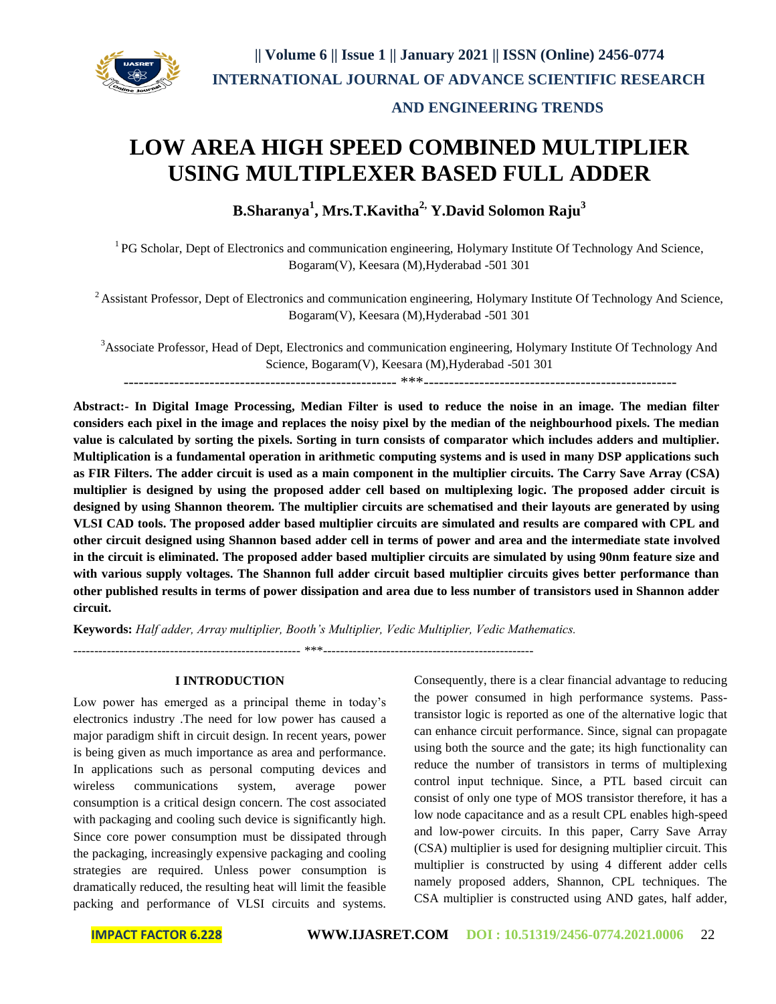

# **LOW AREA HIGH SPEED COMBINED MULTIPLIER USING MULTIPLEXER BASED FULL ADDER**

**B.Sharanya<sup>1</sup> , Mrs.T.Kavitha2, Y.David Solomon Raju<sup>3</sup>**

<sup>1</sup> PG Scholar, Dept of Electronics and communication engineering, Holymary Institute Of Technology And Science, Bogaram(V), Keesara (M),Hyderabad -501 301

<sup>2</sup> Assistant Professor, Dept of Electronics and communication engineering, Holymary Institute Of Technology And Science, Bogaram(V), Keesara (M),Hyderabad -501 301

<sup>3</sup>Associate Professor, Head of Dept, Electronics and communication engineering, Holymary Institute Of Technology And Science, Bogaram(V), Keesara (M),Hyderabad -501 301

------------------------------------------------------ \*\*\*--------------------------------------------------

**Abstract:- In Digital Image Processing, Median Filter is used to reduce the noise in an image. The median filter considers each pixel in the image and replaces the noisy pixel by the median of the neighbourhood pixels. The median value is calculated by sorting the pixels. Sorting in turn consists of comparator which includes adders and multiplier. Multiplication is a fundamental operation in arithmetic computing systems and is used in many DSP applications such as FIR Filters. The adder circuit is used as a main component in the multiplier circuits. The Carry Save Array (CSA) multiplier is designed by using the proposed adder cell based on multiplexing logic. The proposed adder circuit is designed by using Shannon theorem. The multiplier circuits are schematised and their layouts are generated by using VLSI CAD tools. The proposed adder based multiplier circuits are simulated and results are compared with CPL and other circuit designed using Shannon based adder cell in terms of power and area and the intermediate state involved in the circuit is eliminated. The proposed adder based multiplier circuits are simulated by using 90nm feature size and with various supply voltages. The Shannon full adder circuit based multiplier circuits gives better performance than other published results in terms of power dissipation and area due to less number of transistors used in Shannon adder circuit.**

**Keywords:** *Half adder, Array multiplier, Booth's Multiplier, Vedic Multiplier, Vedic Mathematics.*

------------------------------------------------------ \*\*\*--------------------------------------------------

#### **I INTRODUCTION**

Low power has emerged as a principal theme in today's electronics industry .The need for low power has caused a major paradigm shift in circuit design. In recent years, power is being given as much importance as area and performance. In applications such as personal computing devices and wireless communications system, average power consumption is a critical design concern. The cost associated with packaging and cooling such device is significantly high. Since core power consumption must be dissipated through the packaging, increasingly expensive packaging and cooling strategies are required. Unless power consumption is dramatically reduced, the resulting heat will limit the feasible packing and performance of VLSI circuits and systems. Consequently, there is a clear financial advantage to reducing the power consumed in high performance systems. Passtransistor logic is reported as one of the alternative logic that can enhance circuit performance. Since, signal can propagate using both the source and the gate; its high functionality can reduce the number of transistors in terms of multiplexing control input technique. Since, a PTL based circuit can consist of only one type of MOS transistor therefore, it has a low node capacitance and as a result CPL enables high-speed and low-power circuits. In this paper, Carry Save Array (CSA) multiplier is used for designing multiplier circuit. This multiplier is constructed by using 4 different adder cells namely proposed adders, Shannon, CPL techniques. The CSA multiplier is constructed using AND gates, half adder,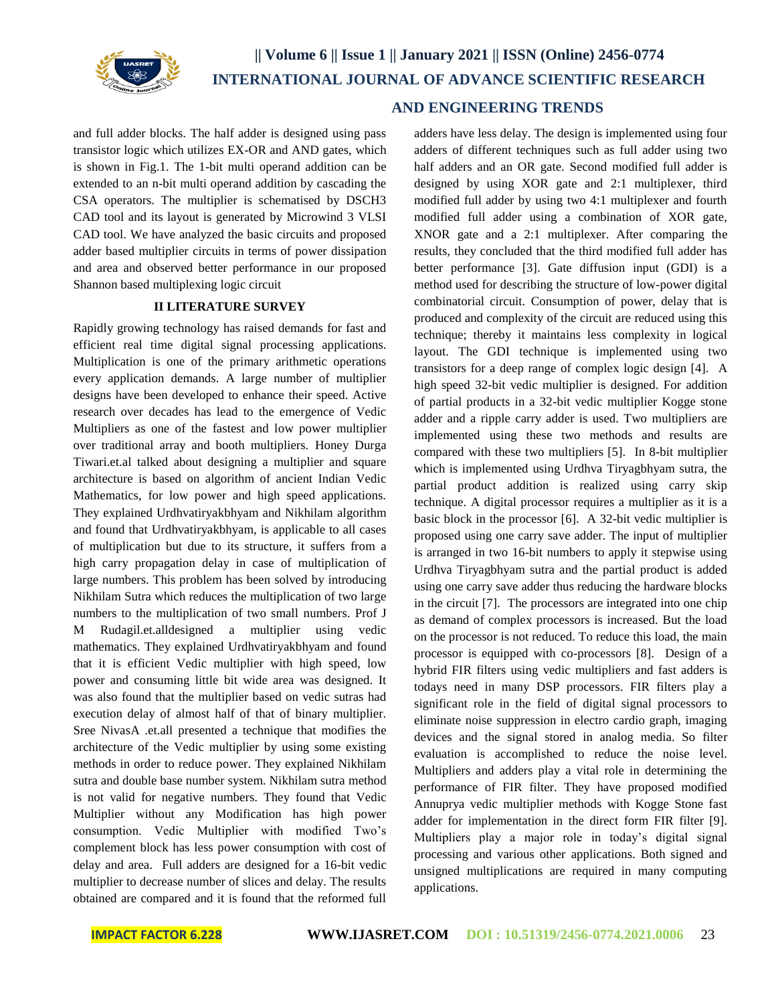

and full adder blocks. The half adder is designed using pass transistor logic which utilizes EX-OR and AND gates, which is shown in Fig.1. The 1-bit multi operand addition can be extended to an n-bit multi operand addition by cascading the CSA operators. The multiplier is schematised by DSCH3 CAD tool and its layout is generated by Microwind 3 VLSI CAD tool. We have analyzed the basic circuits and proposed adder based multiplier circuits in terms of power dissipation and area and observed better performance in our proposed Shannon based multiplexing logic circuit

## **II LITERATURE SURVEY**

Rapidly growing technology has raised demands for fast and efficient real time digital signal processing applications. Multiplication is one of the primary arithmetic operations every application demands. A large number of multiplier designs have been developed to enhance their speed. Active research over decades has lead to the emergence of Vedic Multipliers as one of the fastest and low power multiplier over traditional array and booth multipliers. Honey Durga Tiwari.et.al talked about designing a multiplier and square architecture is based on algorithm of ancient Indian Vedic Mathematics, for low power and high speed applications. They explained Urdhvatiryakbhyam and Nikhilam algorithm and found that Urdhvatiryakbhyam, is applicable to all cases of multiplication but due to its structure, it suffers from a high carry propagation delay in case of multiplication of large numbers. This problem has been solved by introducing Nikhilam Sutra which reduces the multiplication of two large numbers to the multiplication of two small numbers. Prof J M Rudagil.et.alldesigned a multiplier using vedic mathematics. They explained Urdhvatiryakbhyam and found that it is efficient Vedic multiplier with high speed, low power and consuming little bit wide area was designed. It was also found that the multiplier based on vedic sutras had execution delay of almost half of that of binary multiplier. Sree NivasA .et.all presented a technique that modifies the architecture of the Vedic multiplier by using some existing methods in order to reduce power. They explained Nikhilam sutra and double base number system. Nikhilam sutra method is not valid for negative numbers. They found that Vedic Multiplier without any Modification has high power consumption. Vedic Multiplier with modified Two's complement block has less power consumption with cost of delay and area. Full adders are designed for a 16-bit vedic multiplier to decrease number of slices and delay. The results obtained are compared and it is found that the reformed full

## **AND ENGINEERING TRENDS**

adders have less delay. The design is implemented using four adders of different techniques such as full adder using two half adders and an OR gate. Second modified full adder is designed by using XOR gate and 2:1 multiplexer, third modified full adder by using two 4:1 multiplexer and fourth modified full adder using a combination of XOR gate, XNOR gate and a 2:1 multiplexer. After comparing the results, they concluded that the third modified full adder has better performance [3]. Gate diffusion input (GDI) is a method used for describing the structure of low-power digital combinatorial circuit. Consumption of power, delay that is produced and complexity of the circuit are reduced using this technique; thereby it maintains less complexity in logical layout. The GDI technique is implemented using two transistors for a deep range of complex logic design [4]. A high speed 32-bit vedic multiplier is designed. For addition of partial products in a 32-bit vedic multiplier Kogge stone adder and a ripple carry adder is used. Two multipliers are implemented using these two methods and results are compared with these two multipliers [5]. In 8-bit multiplier which is implemented using Urdhva Tiryagbhyam sutra, the partial product addition is realized using carry skip technique. A digital processor requires a multiplier as it is a basic block in the processor [6]. A 32-bit vedic multiplier is proposed using one carry save adder. The input of multiplier is arranged in two 16-bit numbers to apply it stepwise using Urdhva Tiryagbhyam sutra and the partial product is added using one carry save adder thus reducing the hardware blocks in the circuit [7]. The processors are integrated into one chip as demand of complex processors is increased. But the load on the processor is not reduced. To reduce this load, the main processor is equipped with co-processors [8]. Design of a hybrid FIR filters using vedic multipliers and fast adders is todays need in many DSP processors. FIR filters play a significant role in the field of digital signal processors to eliminate noise suppression in electro cardio graph, imaging devices and the signal stored in analog media. So filter evaluation is accomplished to reduce the noise level. Multipliers and adders play a vital role in determining the performance of FIR filter. They have proposed modified Annuprya vedic multiplier methods with Kogge Stone fast adder for implementation in the direct form FIR filter [9]. Multipliers play a major role in today's digital signal processing and various other applications. Both signed and unsigned multiplications are required in many computing applications.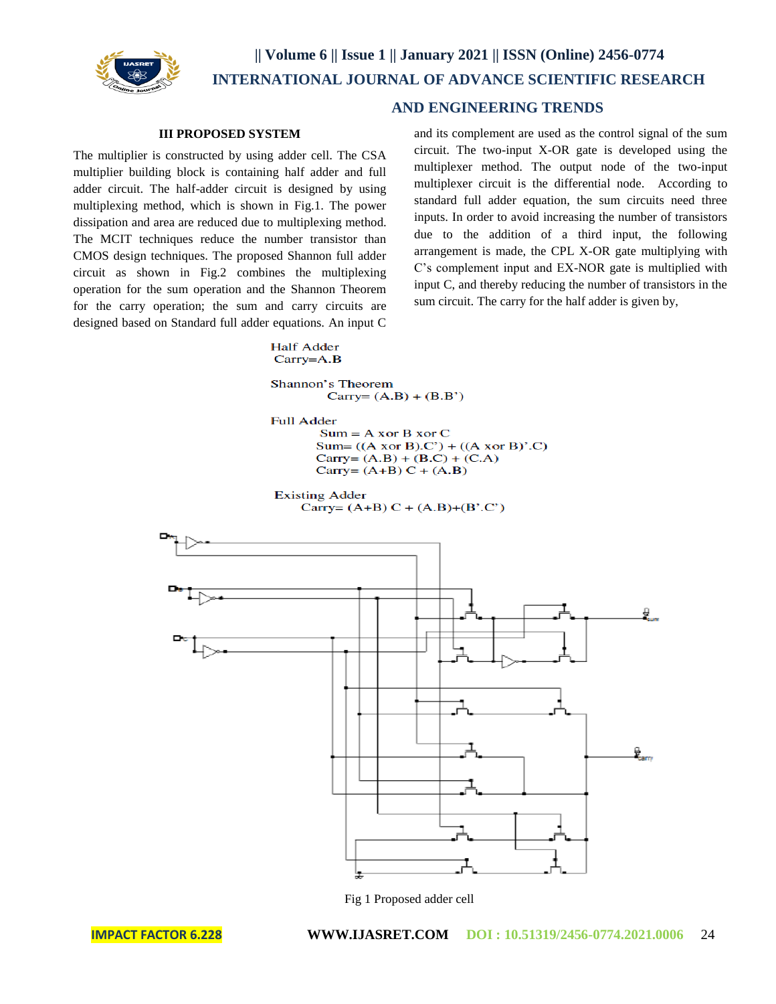

## **AND ENGINEERING TRENDS**

### **III PROPOSED SYSTEM**

The multiplier is constructed by using adder cell. The CSA multiplier building block is containing half adder and full adder circuit. The half-adder circuit is designed by using multiplexing method, which is shown in Fig.1. The power dissipation and area are reduced due to multiplexing method. The MCIT techniques reduce the number transistor than CMOS design techniques. The proposed Shannon full adder circuit as shown in Fig.2 combines the multiplexing operation for the sum operation and the Shannon Theorem for the carry operation; the sum and carry circuits are designed based on Standard full adder equations. An input C and its complement are used as the control signal of the sum circuit. The two-input X-OR gate is developed using the multiplexer method. The output node of the two-input multiplexer circuit is the differential node. According to standard full adder equation, the sum circuits need three inputs. In order to avoid increasing the number of transistors due to the addition of a third input, the following arrangement is made, the CPL X-OR gate multiplying with C's complement input and EX-NOR gate is multiplied with input C, and thereby reducing the number of transistors in the sum circuit. The carry for the half adder is given by,

#### **Half Adder**  $Carry = A.B$

Shannon's Theorem Carry= $(A.B) + (B.B')$ 

**Full Adder** 

 $Sum = A xor B xor C$ Sum=  $((A x or B).C') + ((A x or B)' .C)$ Carry=  $(A.B) + (B.C) + (C.A)$ Carry=  $(A+B) C + (A.B)$ 

**Existing Adder** 

Carry=  $(A+B) C + (A.B)+(B'.C')$ 



Fig 1 Proposed adder cell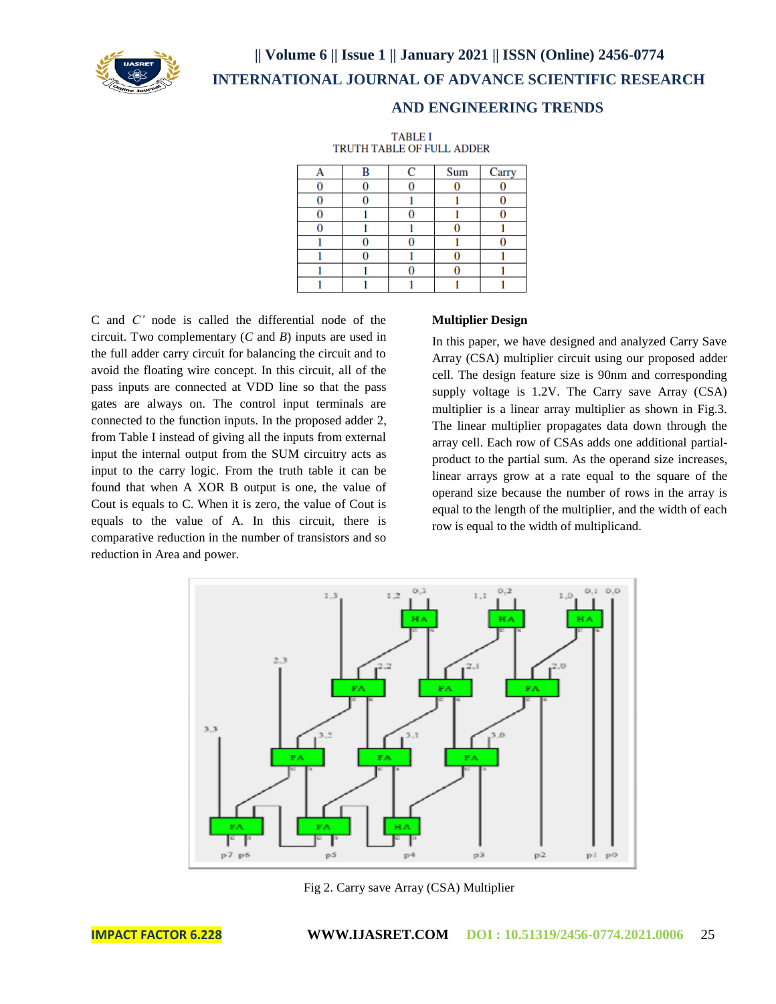

**|| Volume 6 || Issue 1 || January 2021 || ISSN (Online) 2456-0774 INTERNATIONAL JOURNAL OF ADVANCE SCIENTIFIC RESEARCH** 

## **AND ENGINEERING TRENDS**

**TABLE I** TRUTH TABLE OF FULL ADDER

| B | С | Sum | Carry |
|---|---|-----|-------|
|   |   |     |       |
|   |   |     |       |
|   |   |     |       |
|   |   |     |       |
|   |   |     |       |
|   |   |     |       |
|   |   |     |       |
|   |   |     |       |

C and *C'* node is called the differential node of the circuit. Two complementary (*C* and *B*) inputs are used in the full adder carry circuit for balancing the circuit and to avoid the floating wire concept. In this circuit, all of the pass inputs are connected at VDD line so that the pass gates are always on. The control input terminals are connected to the function inputs. In the proposed adder 2, from Table I instead of giving all the inputs from external input the internal output from the SUM circuitry acts as input to the carry logic. From the truth table it can be found that when A XOR B output is one, the value of Cout is equals to C. When it is zero, the value of Cout is equals to the value of A. In this circuit, there is comparative reduction in the number of transistors and so reduction in Area and power.

#### **Multiplier Design**

In this paper, we have designed and analyzed Carry Save Array (CSA) multiplier circuit using our proposed adder cell. The design feature size is 90nm and corresponding supply voltage is 1.2V. The Carry save Array (CSA) multiplier is a linear array multiplier as shown in Fig.3. The linear multiplier propagates data down through the array cell. Each row of CSAs adds one additional partialproduct to the partial sum. As the operand size increases, linear arrays grow at a rate equal to the square of the operand size because the number of rows in the array is equal to the length of the multiplier, and the width of each row is equal to the width of multiplicand.



Fig 2. Carry save Array (CSA) Multiplier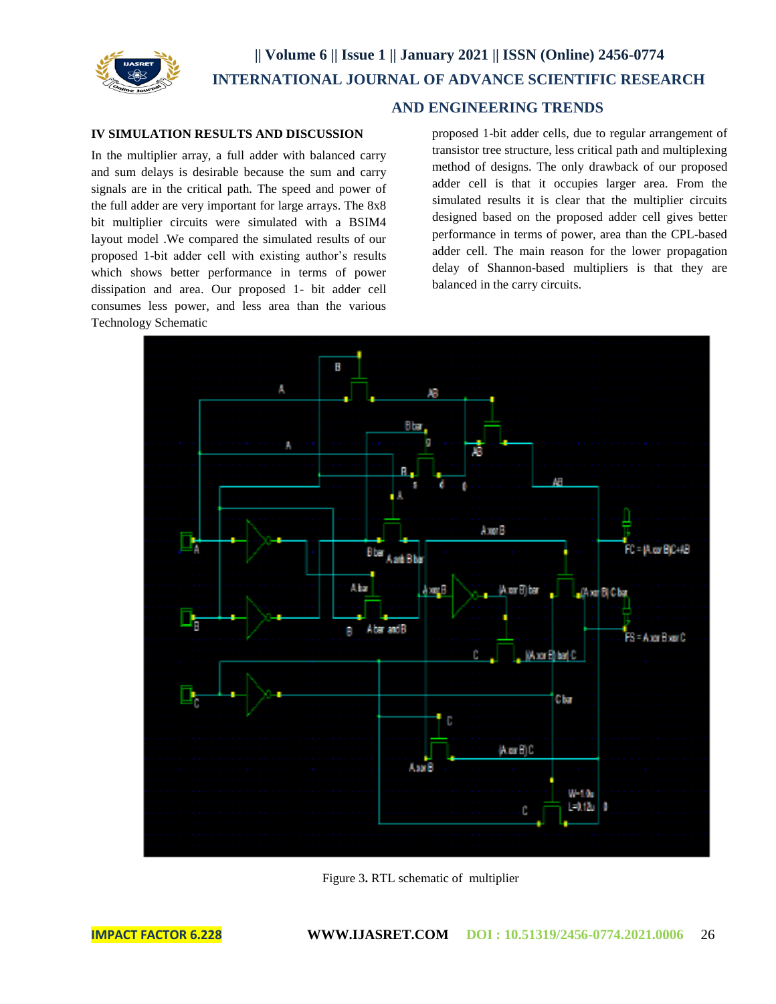

## **AND ENGINEERING TRENDS**

### **IV SIMULATION RESULTS AND DISCUSSION**

In the multiplier array, a full adder with balanced carry and sum delays is desirable because the sum and carry signals are in the critical path. The speed and power of the full adder are very important for large arrays. The 8x8 bit multiplier circuits were simulated with a BSIM4 layout model .We compared the simulated results of our proposed 1-bit adder cell with existing author's results which shows better performance in terms of power dissipation and area. Our proposed 1- bit adder cell consumes less power, and less area than the various Technology Schematic

proposed 1-bit adder cells, due to regular arrangement of transistor tree structure, less critical path and multiplexing method of designs. The only drawback of our proposed adder cell is that it occupies larger area. From the simulated results it is clear that the multiplier circuits designed based on the proposed adder cell gives better performance in terms of power, area than the CPL-based adder cell. The main reason for the lower propagation delay of Shannon-based multipliers is that they are balanced in the carry circuits.



Figure 3**.** RTL schematic of multiplier